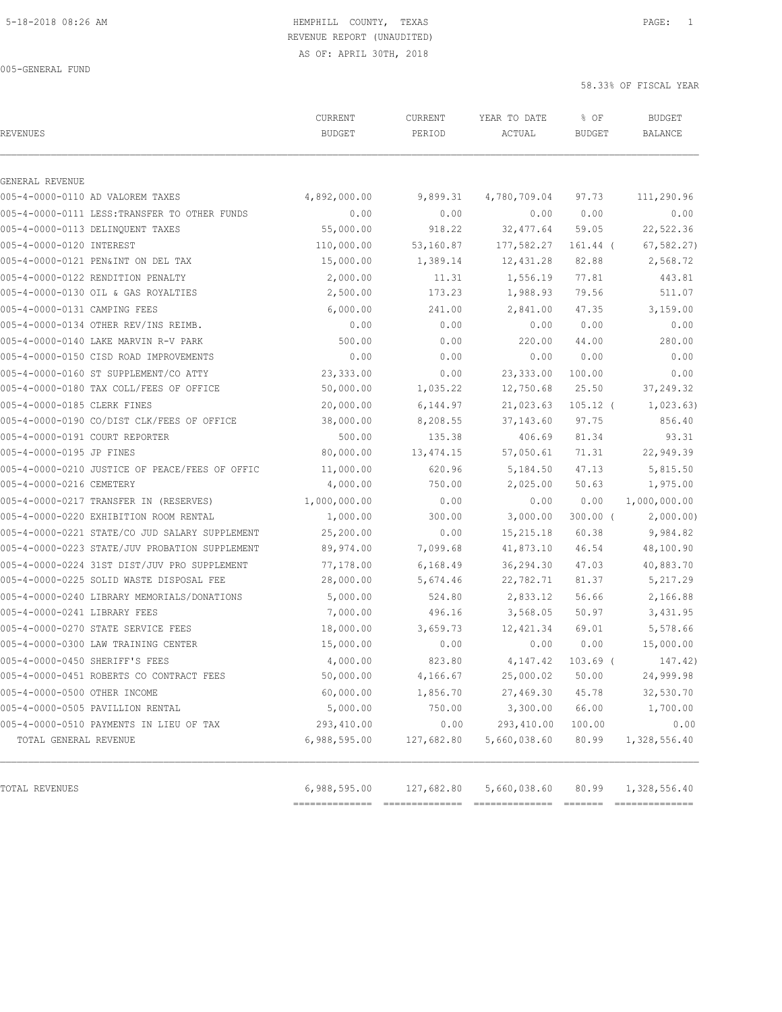AS OF: APRIL 30TH, 2018

005-GENERAL FUND

| <b>REVENUES</b>                                | CURRENT<br><b>BUDGET</b> | CURRENT<br>PERIOD | YEAR TO DATE<br>ACTUAL | % OF<br><b>BUDGET</b> | <b>BUDGET</b><br>BALANCE |
|------------------------------------------------|--------------------------|-------------------|------------------------|-----------------------|--------------------------|
| GENERAL REVENUE                                |                          |                   |                        |                       |                          |
| 005-4-0000-0110 AD VALOREM TAXES               | 4,892,000.00             | 9,899.31          | 4,780,709.04           | 97.73                 | 111,290.96               |
| 005-4-0000-0111 LESS: TRANSFER TO OTHER FUNDS  | 0.00                     | 0.00              | 0.00                   | 0.00                  | 0.00                     |
| 005-4-0000-0113 DELINQUENT TAXES               | 55,000.00                | 918.22            | 32, 477.64             | 59.05                 | 22,522.36                |
| 005-4-0000-0120 INTEREST                       | 110,000.00               | 53,160.87         | 177,582.27             | 161.44 (              | 67, 582.27               |
| 005-4-0000-0121 PEN&INT ON DEL TAX             | 15,000.00                | 1,389.14          | 12,431.28              | 82.88                 | 2,568.72                 |
| 005-4-0000-0122 RENDITION PENALTY              | 2,000.00                 | 11.31             | 1,556.19               | 77.81                 | 443.81                   |
| 005-4-0000-0130 OIL & GAS ROYALTIES            | 2,500.00                 | 173.23            | 1,988.93               | 79.56                 | 511.07                   |
| 005-4-0000-0131 CAMPING FEES                   | 6,000.00                 | 241.00            | 2,841.00               | 47.35                 | 3,159.00                 |
| 005-4-0000-0134 OTHER REV/INS REIMB.           | 0.00                     | 0.00              | 0.00                   | 0.00                  | 0.00                     |
| 005-4-0000-0140 LAKE MARVIN R-V PARK           | 500.00                   | 0.00              | 220.00                 | 44.00                 | 280.00                   |
| 005-4-0000-0150 CISD ROAD IMPROVEMENTS         | 0.00                     | 0.00              | 0.00                   | 0.00                  | 0.00                     |
| 005-4-0000-0160 ST SUPPLEMENT/CO ATTY          | 23,333.00                | 0.00              | 23, 333.00             | 100.00                | 0.00                     |
| 005-4-0000-0180 TAX COLL/FEES OF OFFICE        | 50,000.00                | 1,035.22          | 12,750.68              | 25.50                 | 37,249.32                |
| 005-4-0000-0185 CLERK FINES                    | 20,000.00                | 6, 144.97         | 21,023.63              | $105.12$ (            | 1,023.63)                |
| 005-4-0000-0190 CO/DIST CLK/FEES OF OFFICE     | 38,000.00                | 8,208.55          | 37,143.60              | 97.75                 | 856.40                   |
| 005-4-0000-0191 COURT REPORTER                 | 500.00                   | 135.38            | 406.69                 | 81.34                 | 93.31                    |
| 005-4-0000-0195 JP FINES                       | 80,000.00                | 13,474.15         | 57,050.61              | 71.31                 | 22,949.39                |
| 005-4-0000-0210 JUSTICE OF PEACE/FEES OF OFFIC | 11,000.00                | 620.96            | 5,184.50               | 47.13                 | 5,815.50                 |
| 005-4-0000-0216 CEMETERY                       | 4,000.00                 | 750.00            | 2,025.00               | 50.63                 | 1,975.00                 |
| 005-4-0000-0217 TRANSFER IN (RESERVES)         | 1,000,000.00             | 0.00              | 0.00                   | 0.00                  | 1,000,000.00             |
| 005-4-0000-0220 EXHIBITION ROOM RENTAL         | 1,000.00                 | 300.00            | 3,000.00               | 300.00 (              | 2,000.00)                |
| 005-4-0000-0221 STATE/CO JUD SALARY SUPPLEMENT | 25,200.00                | 0.00              | 15, 215. 18            | 60.38                 | 9,984.82                 |
| 005-4-0000-0223 STATE/JUV PROBATION SUPPLEMENT | 89,974.00                | 7,099.68          | 41,873.10              | 46.54                 | 48,100.90                |
| 005-4-0000-0224 31ST DIST/JUV PRO SUPPLEMENT   | 77,178.00                | 6,168.49          | 36,294.30              | 47.03                 | 40,883.70                |
| 005-4-0000-0225 SOLID WASTE DISPOSAL FEE       | 28,000.00                | 5,674.46          | 22,782.71              | 81.37                 | 5,217.29                 |
| 005-4-0000-0240 LIBRARY MEMORIALS/DONATIONS    | 5,000.00                 | 524.80            | 2,833.12               | 56.66                 | 2,166.88                 |
| 005-4-0000-0241 LIBRARY FEES                   | 7,000.00                 | 496.16            | 3,568.05               | 50.97                 | 3,431.95                 |
| 005-4-0000-0270 STATE SERVICE FEES             | 18,000.00                | 3,659.73          | 12, 421.34             | 69.01                 | 5,578.66                 |
| 005-4-0000-0300 LAW TRAINING CENTER            | 15,000.00                | 0.00              | 0.00                   | 0.00                  | 15,000.00                |
| 005-4-0000-0450 SHERIFF'S FEES                 | 4,000.00                 | 823.80            | 4,147.42               | $103.69$ (            | 147.42)                  |
| 005-4-0000-0451 ROBERTS CO CONTRACT FEES       | 50,000.00                | 4, 166.67         | 25,000.02 50.00        |                       | 24,999.98                |
| 005-4-0000-0500 OTHER INCOME                   | 60,000.00                | 1,856.70          | 27,469.30              | 45.78                 | 32,530.70                |
| 005-4-0000-0505 PAVILLION RENTAL               | 5,000.00                 | 750.00            | 3,300.00               | 66.00                 | 1,700.00                 |
| 005-4-0000-0510 PAYMENTS IN LIEU OF TAX        | 293,410.00               | 0.00              | 293,410.00             | 100.00                | 0.00                     |
| TOTAL GENERAL REVENUE                          | 6,988,595.00             | 127,682.80        | 5,660,038.60           | 80.99                 | 1,328,556.40             |
| TOTAL REVENUES                                 | 6,988,595.00             | 127,682.80        | 5,660,038.60           | 80.99                 | 1,328,556.40             |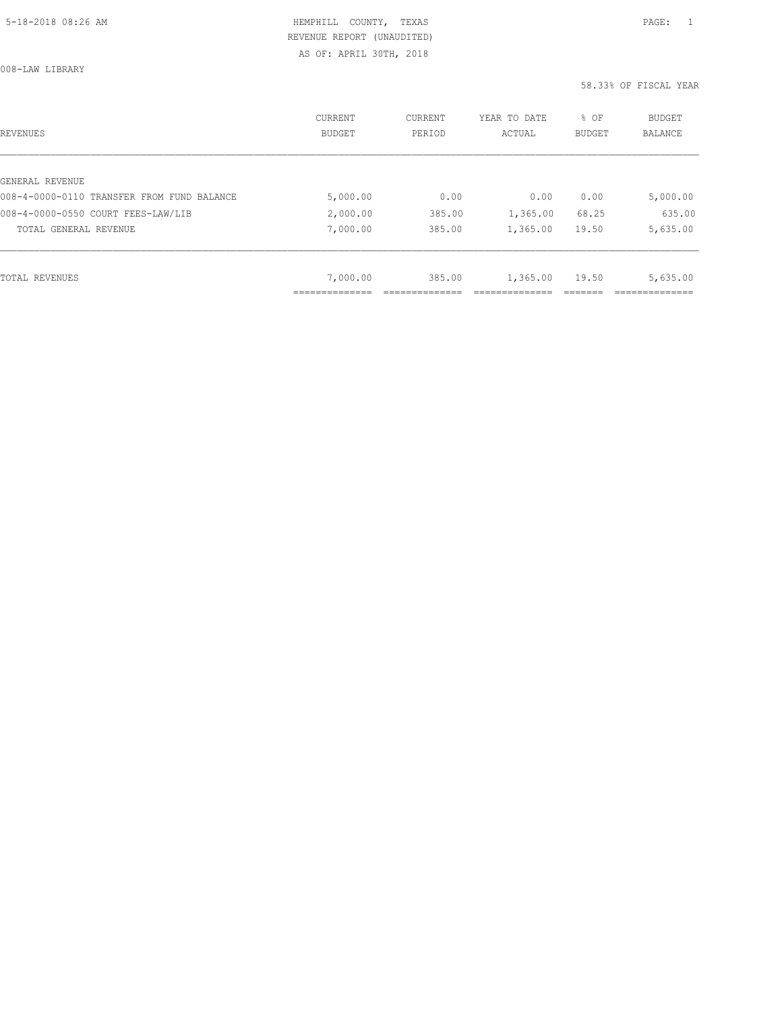008-LAW LIBRARY

| REVENUES                                   | CURRENT<br><b>BUDGET</b> | CURRENT<br>PERIOD | YEAR TO DATE<br>ACTUAL | % OF<br><b>BUDGET</b> | <b>BUDGET</b><br>BALANCE |
|--------------------------------------------|--------------------------|-------------------|------------------------|-----------------------|--------------------------|
|                                            |                          |                   |                        |                       |                          |
| GENERAL REVENUE                            |                          |                   |                        |                       |                          |
| 008-4-0000-0110 TRANSFER FROM FUND BALANCE | 5,000.00                 | 0.00              | 0.00                   | 0.00                  | 5,000.00                 |
| 008-4-0000-0550 COURT FEES-LAW/LIB         | 2,000.00                 | 385.00            | 1,365.00               | 68.25                 | 635.00                   |
| TOTAL GENERAL REVENUE                      | 7,000.00                 | 385.00            | 1,365.00               | 19.50                 | 5,635.00                 |
|                                            |                          |                   |                        |                       |                          |
| TOTAL REVENUES                             | 7,000.00                 | 385.00            | 1,365.00               | 19.50                 | 5,635.00                 |
|                                            |                          |                   |                        |                       |                          |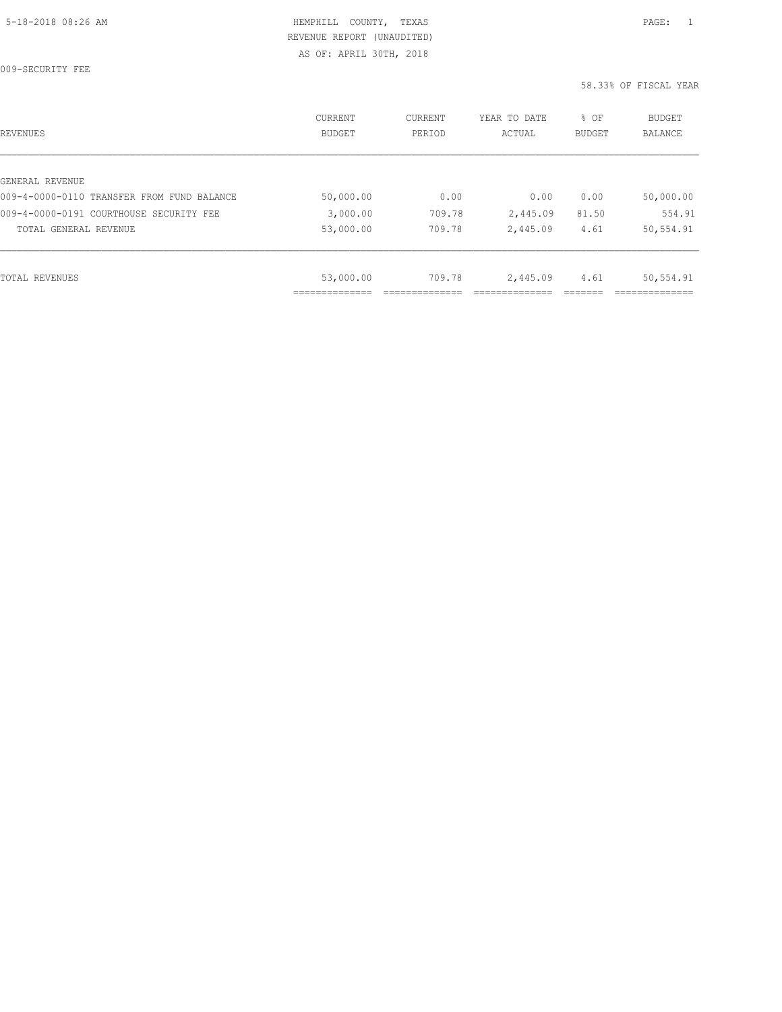009-SECURITY FEE

| REVENUES                                   | CURRENT<br><b>BUDGET</b> | CURRENT<br>PERIOD | YEAR TO DATE<br>ACTUAL | % OF<br>BUDGET | BUDGET<br><b>BALANCE</b> |
|--------------------------------------------|--------------------------|-------------------|------------------------|----------------|--------------------------|
|                                            |                          |                   |                        |                |                          |
| GENERAL REVENUE                            |                          |                   |                        |                |                          |
| 009-4-0000-0110 TRANSFER FROM FUND BALANCE | 50,000.00                | 0.00              | 0.00                   | 0.00           | 50,000.00                |
| 009-4-0000-0191 COURTHOUSE SECURITY FEE    | 3,000.00                 | 709.78            | 2,445.09               | 81.50          | 554.91                   |
| TOTAL GENERAL REVENUE                      | 53,000.00                | 709.78            | 2,445.09               | 4.61           | 50,554.91                |
|                                            |                          |                   |                        |                |                          |
| TOTAL REVENUES                             | 53,000.00                | 709.78            | 2,445.09               | 4.61           | 50,554.91                |
|                                            | ____________             |                   |                        |                |                          |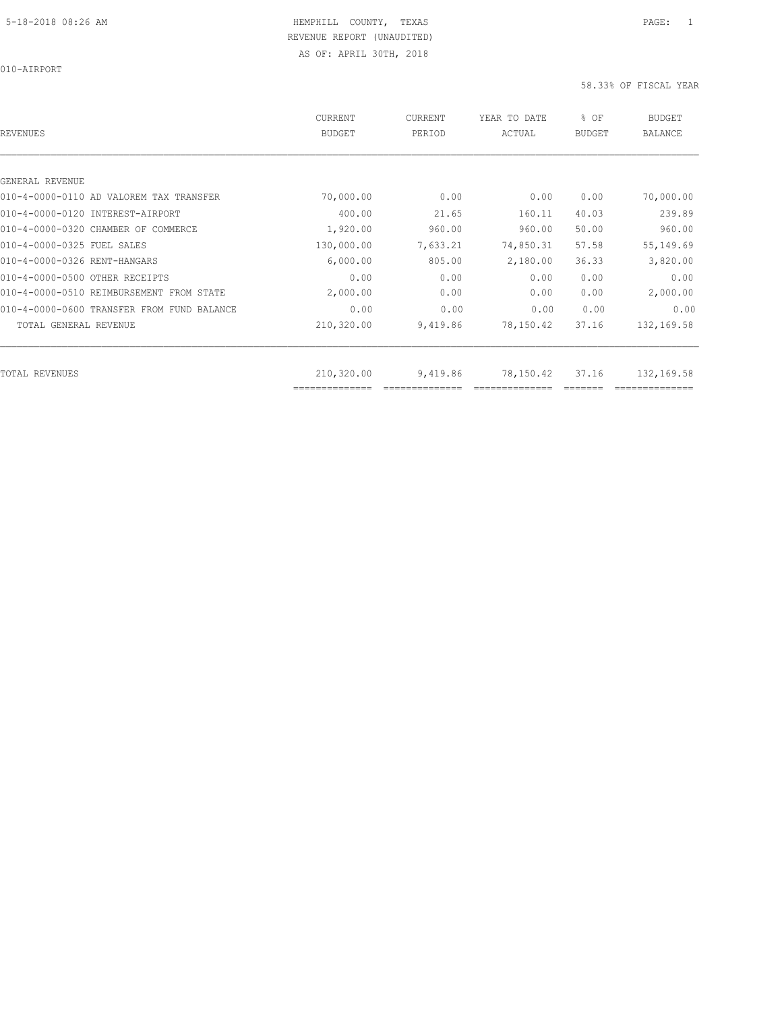| REVENUES                                   | CURRENT<br><b>BUDGET</b>     | CURRENT<br>PERIOD | YEAR TO DATE<br>ACTUAL | % OF<br><b>BUDGET</b> | <b>BUDGET</b><br><b>BALANCE</b> |
|--------------------------------------------|------------------------------|-------------------|------------------------|-----------------------|---------------------------------|
|                                            |                              |                   |                        |                       |                                 |
| GENERAL REVENUE                            |                              |                   |                        |                       |                                 |
| 010-4-0000-0110 AD VALOREM TAX TRANSFER    | 70,000.00                    | 0.00              | 0.00                   | 0.00                  | 70,000.00                       |
| 010-4-0000-0120 INTEREST-AIRPORT           | 400.00                       | 21.65             | 160.11                 | 40.03                 | 239.89                          |
| 010-4-0000-0320 CHAMBER OF COMMERCE        | 1,920.00                     | 960.00            | 960.00                 | 50.00                 | 960.00                          |
| 010-4-0000-0325 FUEL SALES                 | 130,000.00                   | 7,633.21          | 74,850.31              | 57.58                 | 55,149.69                       |
| 010-4-0000-0326 RENT-HANGARS               | 6,000.00                     | 805.00            | 2,180.00               | 36.33                 | 3,820.00                        |
| 010-4-0000-0500 OTHER RECEIPTS             | 0.00                         | 0.00              | 0.00                   | 0.00                  | 0.00                            |
| 010-4-0000-0510 REIMBURSEMENT FROM STATE   | 2,000.00                     | 0.00              | 0.00                   | 0.00                  | 2,000.00                        |
| 010-4-0000-0600 TRANSFER FROM FUND BALANCE | 0.00                         | 0.00              | 0.00                   | 0.00                  | 0.00                            |
| TOTAL GENERAL REVENUE                      | 210,320.00                   | 9,419.86          | 78,150.42              | 37.16                 | 132,169.58                      |
|                                            |                              |                   |                        |                       |                                 |
| TOTAL REVENUES                             | 210,320.00<br>============== | 9,419.86          | 78,150.42              | 37.16                 | 132,169.58                      |
|                                            |                              |                   |                        |                       |                                 |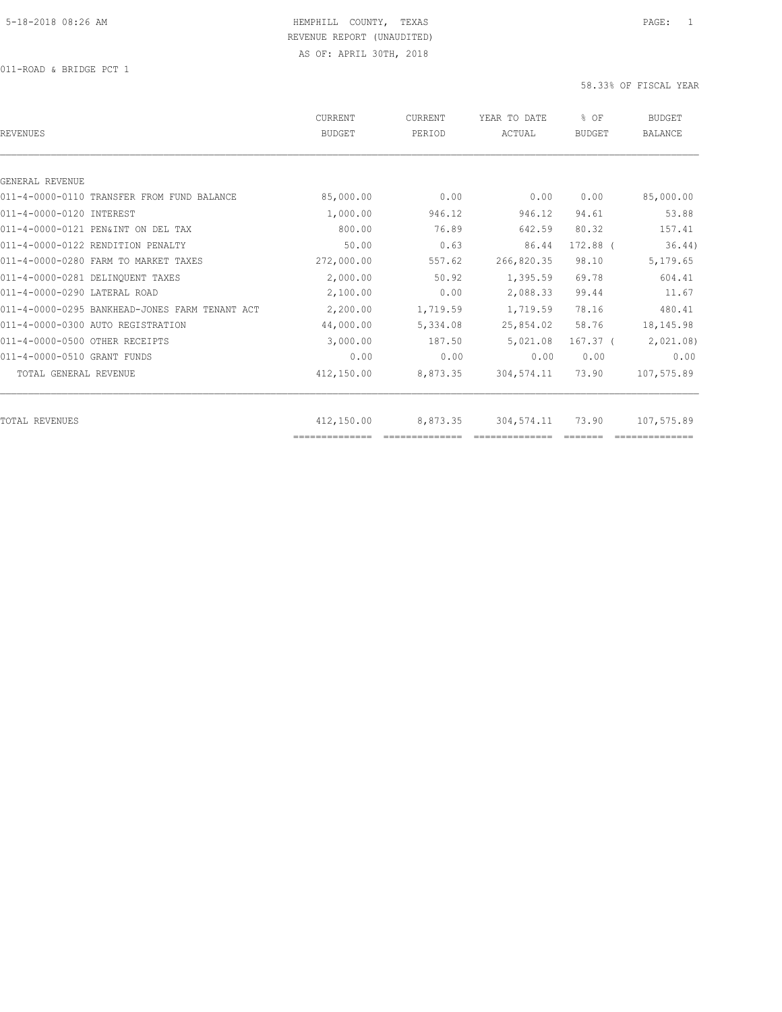| <b>REVENUES</b>                                | <b>CURRENT</b><br><b>BUDGET</b> | CURRENT<br>PERIOD | YEAR TO DATE<br>ACTUAL | % OF<br><b>BUDGET</b> | <b>BUDGET</b><br><b>BALANCE</b> |
|------------------------------------------------|---------------------------------|-------------------|------------------------|-----------------------|---------------------------------|
|                                                |                                 |                   |                        |                       |                                 |
| GENERAL REVENUE                                |                                 |                   |                        |                       |                                 |
| 011-4-0000-0110 TRANSFER FROM FUND BALANCE     | 85,000.00                       | 0.00              | 0.00                   | 0.00                  | 85,000.00                       |
| 011-4-0000-0120 INTEREST                       | 1,000.00                        | 946.12            | 946.12                 | 94.61                 | 53.88                           |
| 011-4-0000-0121 PEN&INT ON DEL TAX             | 800.00                          | 76.89             | 642.59                 | 80.32                 | 157.41                          |
| 011-4-0000-0122 RENDITION PENALTY              | 50.00                           | 0.63              | 86.44                  | 172.88 (              | 36.44)                          |
| 011-4-0000-0280 FARM TO MARKET TAXES           | 272,000.00                      | 557.62            | 266,820.35             | 98.10                 | 5,179.65                        |
| 011-4-0000-0281 DELINQUENT TAXES               | 2,000.00                        | 50.92             | 1,395.59               | 69.78                 | 604.41                          |
| 011-4-0000-0290 LATERAL ROAD                   | 2,100.00                        | 0.00              | 2,088.33               | 99.44                 | 11.67                           |
| 011-4-0000-0295 BANKHEAD-JONES FARM TENANT ACT | 2,200.00                        | 1,719.59          | 1,719.59               | 78.16                 | 480.41                          |
| 011-4-0000-0300 AUTO REGISTRATION              | 44,000.00                       | 5,334.08          | 25,854.02              | 58.76                 | 18,145.98                       |
| 011-4-0000-0500 OTHER RECEIPTS                 | 3,000.00                        | 187.50            | 5,021.08               | 167.37 <sup>0</sup>   | 2,021.08                        |
| 011-4-0000-0510 GRANT FUNDS                    | 0.00                            | 0.00              | 0.00                   | 0.00                  | 0.00                            |
| TOTAL GENERAL REVENUE                          | 412,150.00                      | 8,873.35          | 304,574.11             | 73.90                 | 107,575.89                      |
| TOTAL REVENUES                                 | 412,150.00                      | 8,873.35          | 304,574.11             | 73.90                 | 107,575.89                      |
|                                                | ==============                  |                   |                        |                       |                                 |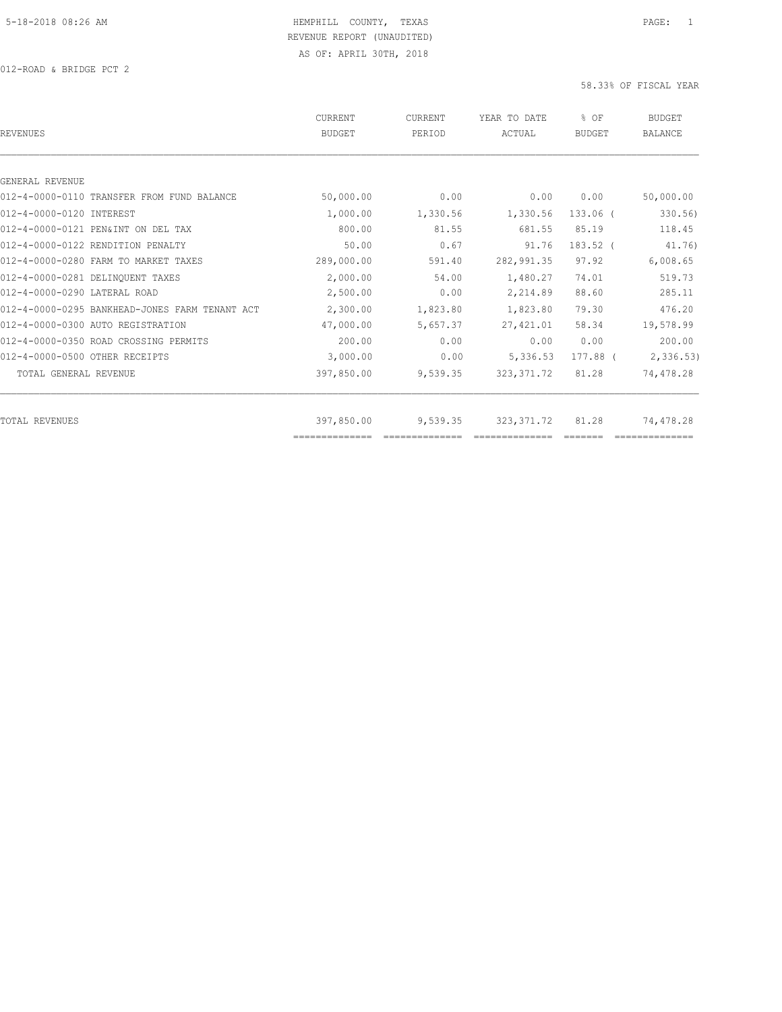| <b>REVENUES</b>                                | <b>CURRENT</b><br><b>BUDGET</b> | CURRENT<br>PERIOD | YEAR TO DATE<br>ACTUAL | % OF<br><b>BUDGET</b> | <b>BUDGET</b><br><b>BALANCE</b> |
|------------------------------------------------|---------------------------------|-------------------|------------------------|-----------------------|---------------------------------|
|                                                |                                 |                   |                        |                       |                                 |
| GENERAL REVENUE                                |                                 |                   |                        |                       |                                 |
| 012-4-0000-0110 TRANSFER FROM FUND BALANCE     | 50,000.00                       | 0.00              | 0.00                   | 0.00                  | 50,000.00                       |
| 012-4-0000-0120 INTEREST                       | 1,000.00                        | 1,330.56          | 1,330.56               | $133.06$ (            | 330.56)                         |
| 012-4-0000-0121 PEN&INT ON DEL TAX             | 800.00                          | 81.55             | 681.55                 | 85.19                 | 118.45                          |
| 012-4-0000-0122 RENDITION PENALTY              | 50.00                           | 0.67              | 91.76                  | 183.52 (              | 41.76)                          |
| 012-4-0000-0280 FARM TO MARKET TAXES           | 289,000.00                      | 591.40            | 282,991.35             | 97.92                 | 6,008.65                        |
| 012-4-0000-0281 DELINOUENT TAXES               | 2,000.00                        | 54.00             | 1,480.27               | 74.01                 | 519.73                          |
| 012-4-0000-0290 LATERAL ROAD                   | 2,500.00                        | 0.00              | 2,214.89               | 88.60                 | 285.11                          |
| 012-4-0000-0295 BANKHEAD-JONES FARM TENANT ACT | 2,300.00                        | 1,823.80          | 1,823.80               | 79.30                 | 476.20                          |
| 012-4-0000-0300 AUTO REGISTRATION              | 47,000.00                       | 5,657.37          | 27,421.01              | 58.34                 | 19,578.99                       |
| 012-4-0000-0350 ROAD CROSSING PERMITS          | 200.00                          | 0.00              | 0.00                   | 0.00                  | 200.00                          |
| 012-4-0000-0500 OTHER RECEIPTS                 | 3,000.00                        | 0.00              | 5,336.53               | 177.88 (              | 2,336.53                        |
| TOTAL GENERAL REVENUE                          | 397,850.00                      | 9,539.35          | 323, 371.72            | 81.28                 | 74,478.28                       |
| <b>TOTAL REVENUES</b>                          | 397,850.00                      | 9,539.35          | 323, 371.72            | 81.28                 | 74,478.28                       |
|                                                | ==============                  |                   |                        |                       |                                 |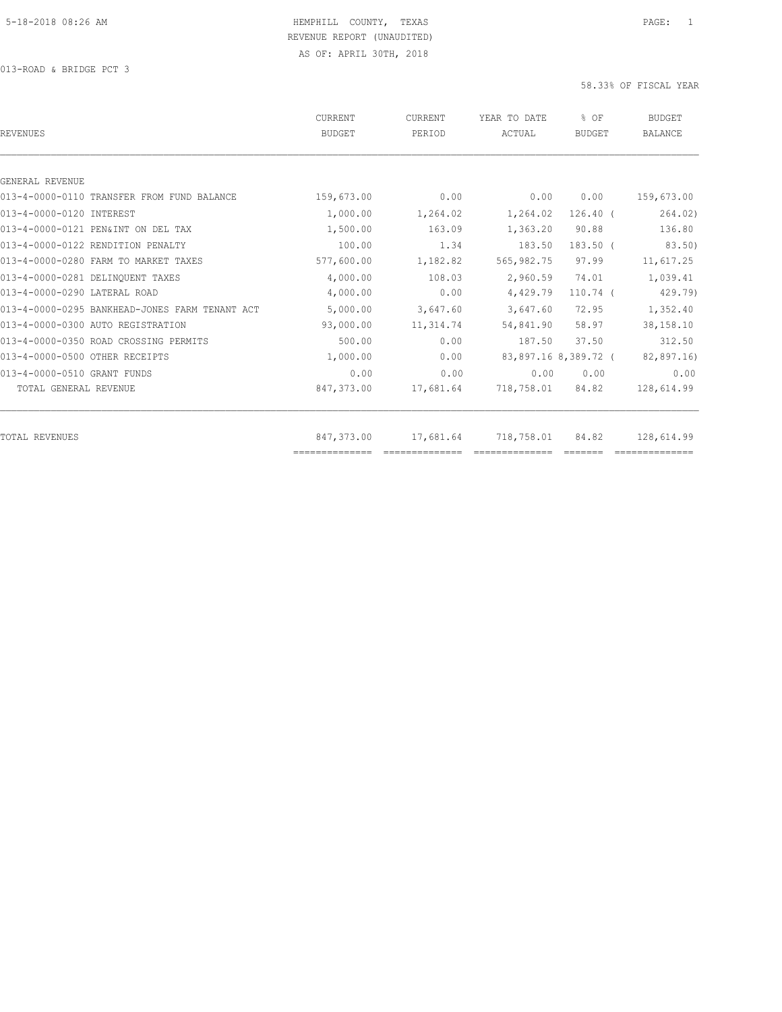013-ROAD & BRIDGE PCT 3

| <b>REVENUES</b>                                | <b>CURRENT</b><br><b>BUDGET</b> | CURRENT<br>PERIOD                                                                                                                                                                                                                                                                                                                                                                                                                                             | YEAR TO DATE<br>ACTUAL | % OF<br><b>BUDGET</b> | <b>BUDGET</b><br><b>BALANCE</b> |
|------------------------------------------------|---------------------------------|---------------------------------------------------------------------------------------------------------------------------------------------------------------------------------------------------------------------------------------------------------------------------------------------------------------------------------------------------------------------------------------------------------------------------------------------------------------|------------------------|-----------------------|---------------------------------|
|                                                |                                 |                                                                                                                                                                                                                                                                                                                                                                                                                                                               |                        |                       |                                 |
| GENERAL REVENUE                                |                                 |                                                                                                                                                                                                                                                                                                                                                                                                                                                               |                        |                       |                                 |
| 013-4-0000-0110 TRANSFER FROM FUND BALANCE     | 159,673.00                      | 0.00                                                                                                                                                                                                                                                                                                                                                                                                                                                          | 0.00                   | 0.00                  | 159,673.00                      |
| 013-4-0000-0120 INTEREST                       | 1,000.00                        | 1,264.02                                                                                                                                                                                                                                                                                                                                                                                                                                                      | 1,264.02               | $126.40$ (            | 264.02)                         |
| 013-4-0000-0121 PEN&INT ON DEL TAX             | 1,500.00                        | 163.09                                                                                                                                                                                                                                                                                                                                                                                                                                                        | 1,363.20               | 90.88                 | 136.80                          |
| 013-4-0000-0122 RENDITION PENALTY              | 100.00                          | 1.34                                                                                                                                                                                                                                                                                                                                                                                                                                                          | 183.50                 | $183.50$ $($          | 83.50)                          |
| 013-4-0000-0280 FARM TO MARKET TAXES           | 577,600.00                      | 1,182.82                                                                                                                                                                                                                                                                                                                                                                                                                                                      | 565,982.75             | 97.99                 | 11,617.25                       |
| 013-4-0000-0281 DELINQUENT TAXES               | 4,000.00                        | 108.03                                                                                                                                                                                                                                                                                                                                                                                                                                                        | 2,960.59               | 74.01                 | 1,039.41                        |
| 013-4-0000-0290 LATERAL ROAD                   | 4,000.00                        | 0.00                                                                                                                                                                                                                                                                                                                                                                                                                                                          | 4,429.79               | $110.74$ (            | 429.79)                         |
| 013-4-0000-0295 BANKHEAD-JONES FARM TENANT ACT | 5,000.00                        | 3,647.60                                                                                                                                                                                                                                                                                                                                                                                                                                                      | 3,647.60               | 72.95                 | 1,352.40                        |
| 013-4-0000-0300 AUTO REGISTRATION              | 93,000.00                       | 11,314.74                                                                                                                                                                                                                                                                                                                                                                                                                                                     | 54,841.90              | 58.97                 | 38,158.10                       |
| 013-4-0000-0350 ROAD CROSSING PERMITS          | 500.00                          | 0.00                                                                                                                                                                                                                                                                                                                                                                                                                                                          | 187.50                 | 37.50                 | 312.50                          |
| 013-4-0000-0500 OTHER RECEIPTS                 | 1,000.00                        | 0.00                                                                                                                                                                                                                                                                                                                                                                                                                                                          |                        | 83,897.16 8,389.72 (  | 82,897.16)                      |
| 013-4-0000-0510 GRANT FUNDS                    | 0.00                            | 0.00                                                                                                                                                                                                                                                                                                                                                                                                                                                          | 0.00                   | 0.00                  | 0.00                            |
| TOTAL GENERAL REVENUE                          | 847,373.00                      | 17,681.64                                                                                                                                                                                                                                                                                                                                                                                                                                                     | 718,758.01             | 84.82                 | 128,614.99                      |
| <b>TOTAL REVENUES</b>                          | 847,373.00                      | 17,681.64                                                                                                                                                                                                                                                                                                                                                                                                                                                     | 718,758.01             | 84.82                 | 128,614.99                      |
|                                                |                                 | $\begin{array}{c} \multicolumn{2}{c} {\textbf{2.5}} \multicolumn{2}{c} {\textbf{2.5}} \multicolumn{2}{c} {\textbf{2.5}} \multicolumn{2}{c} {\textbf{2.5}} \multicolumn{2}{c} {\textbf{2.5}} \multicolumn{2}{c} {\textbf{2.5}} \multicolumn{2}{c} {\textbf{2.5}} \multicolumn{2}{c} {\textbf{2.5}} \multicolumn{2}{c} {\textbf{2.5}} \multicolumn{2}{c} {\textbf{2.5}} \multicolumn{2}{c} {\textbf{2.5}} \multicolumn{2}{c} {\textbf{2.5}} \multicolumn{2}{c}$ |                        |                       |                                 |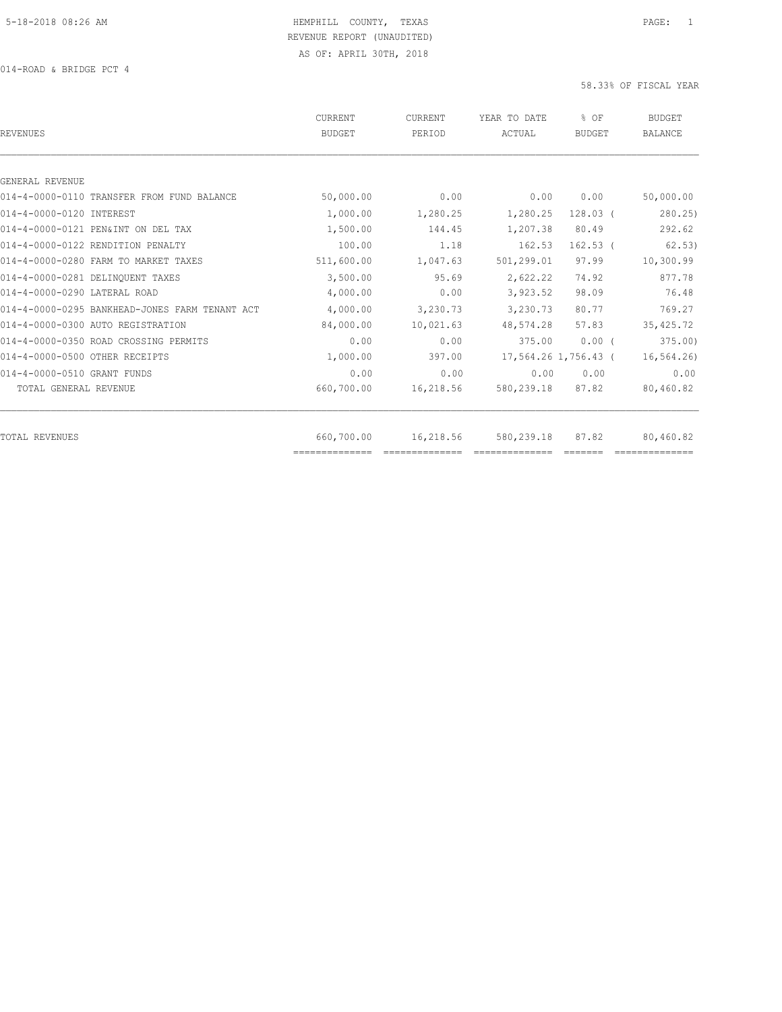| <b>REVENUES</b>                                | CURRENT<br><b>BUDGET</b> | <b>CURRENT</b><br>PERIOD | YEAR TO DATE<br>ACTUAL | % OF<br><b>BUDGET</b> | <b>BUDGET</b><br><b>BALANCE</b> |
|------------------------------------------------|--------------------------|--------------------------|------------------------|-----------------------|---------------------------------|
|                                                |                          |                          |                        |                       |                                 |
| GENERAL REVENUE                                |                          |                          |                        |                       |                                 |
| 014-4-0000-0110 TRANSFER FROM FUND BALANCE     | 50,000.00                | 0.00                     | 0.00                   | 0.00                  | 50,000.00                       |
| 014-4-0000-0120 INTEREST                       | 1,000.00                 | 1,280.25                 | 1,280.25               | $128.03$ (            | 280.25                          |
| 014-4-0000-0121 PEN&INT ON DEL TAX             | 1,500.00                 | 144.45                   | 1,207.38               | 80.49                 | 292.62                          |
| 014-4-0000-0122 RENDITION PENALTY              | 100.00                   | 1.18                     | 162.53                 | $162.53$ (            | 62.53)                          |
| 014-4-0000-0280 FARM TO MARKET TAXES           | 511,600.00               | 1,047.63                 | 501,299.01             | 97.99                 | 10,300.99                       |
| 014-4-0000-0281 DELINOUENT TAXES               | 3,500.00                 | 95.69                    | 2,622.22               | 74.92                 | 877.78                          |
| 014-4-0000-0290 LATERAL ROAD                   | 4,000.00                 | 0.00                     | 3,923.52               | 98.09                 | 76.48                           |
| 014-4-0000-0295 BANKHEAD-JONES FARM TENANT ACT | 4,000.00                 | 3,230.73                 | 3,230.73               | 80.77                 | 769.27                          |
| 014-4-0000-0300 AUTO REGISTRATION              | 84,000.00                | 10,021.63                | 48,574.28              | 57.83                 | 35, 425.72                      |
| 014-4-0000-0350 ROAD CROSSING PERMITS          | 0.00                     | 0.00                     | 375.00                 | $0.00$ (              | 375.00                          |
| 014-4-0000-0500 OTHER RECEIPTS                 | 1,000.00                 | 397.00                   |                        | 17,564.26 1,756.43 (  | 16, 564.26                      |
| 014-4-0000-0510 GRANT FUNDS                    | 0.00                     | 0.00                     | 0.00                   | 0.00                  | 0.00                            |
| TOTAL GENERAL REVENUE                          | 660,700.00               | 16,218.56                | 580,239.18             | 87.82                 | 80,460.82                       |
| <b>TOTAL REVENUES</b>                          | 660,700.00               | 16,218.56                | 580, 239.18            | 87.82                 | 80,460.82                       |
|                                                | ==============           |                          |                        |                       |                                 |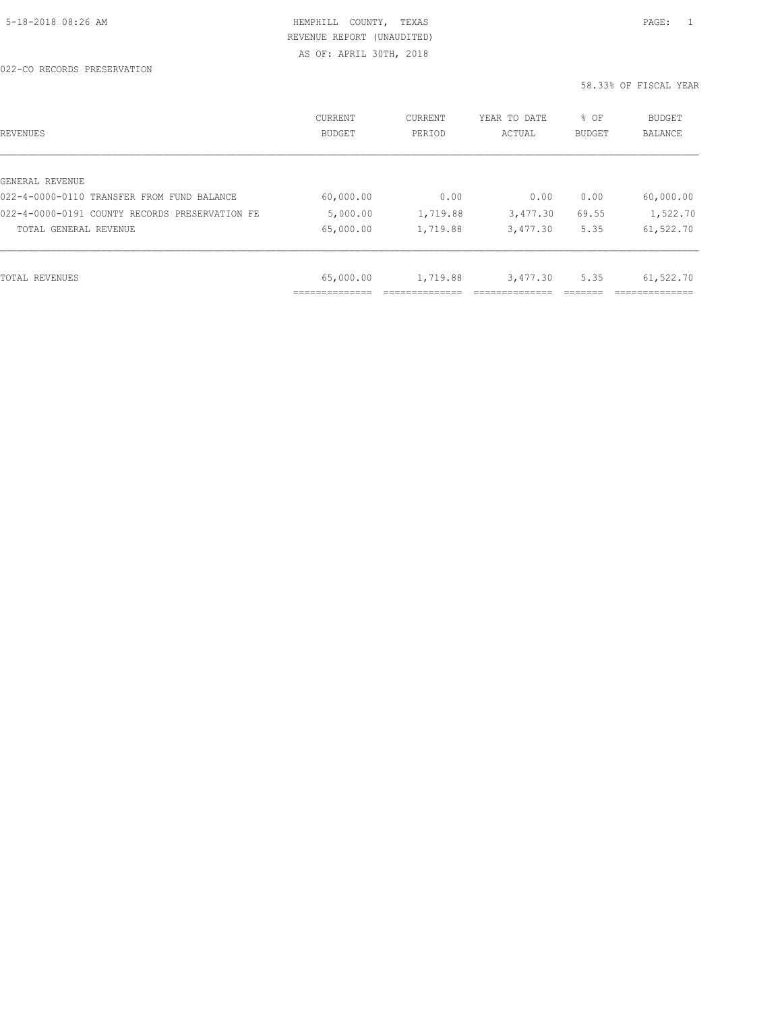AS OF: APRIL 30TH, 2018

| REVENUES                                       | <b>CURRENT</b><br><b>BUDGET</b> | CURRENT<br>PERIOD | YEAR TO DATE<br>ACTUAL | % OF<br>BUDGET | BUDGET<br>BALANCE |
|------------------------------------------------|---------------------------------|-------------------|------------------------|----------------|-------------------|
|                                                |                                 |                   |                        |                |                   |
| GENERAL REVENUE                                |                                 |                   |                        |                |                   |
| 022-4-0000-0110 TRANSFER FROM FUND BALANCE     | 60,000.00                       | 0.00              | 0.00                   | 0.00           | 60,000.00         |
| 022-4-0000-0191 COUNTY RECORDS PRESERVATION FE | 5,000.00                        | 1,719.88          | 3,477.30               | 69.55          | 1,522.70          |
| TOTAL GENERAL REVENUE                          | 65,000.00                       | 1,719.88          | 3,477.30               | 5.35           | 61,522.70         |
|                                                |                                 |                   |                        |                |                   |
| TOTAL REVENUES                                 | 65,000.00                       | 1,719.88          | 3,477.30               | 5.35           | 61,522.70         |
|                                                |                                 |                   |                        |                |                   |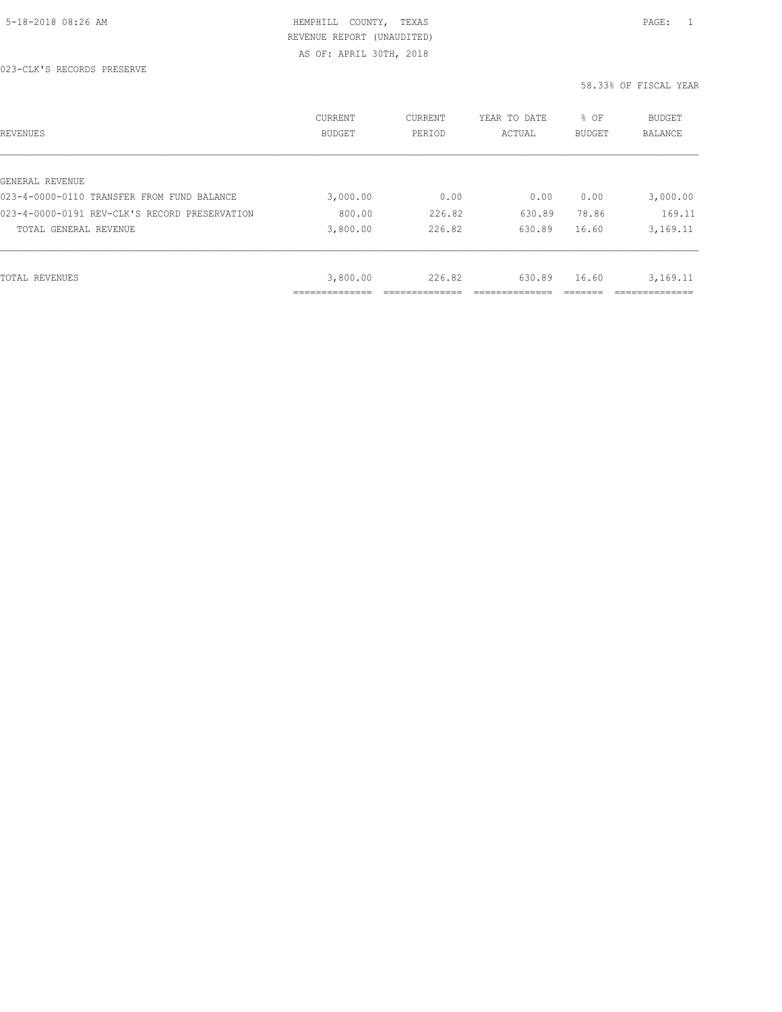AS OF: APRIL 30TH, 2018

| REVENUES                                      | CURRENT<br><b>BUDGET</b> | CURRENT<br>PERIOD | YEAR TO DATE<br>ACTUAL | % OF<br>BUDGET | BUDGET<br>BALANCE |
|-----------------------------------------------|--------------------------|-------------------|------------------------|----------------|-------------------|
|                                               |                          |                   |                        |                |                   |
| GENERAL REVENUE                               |                          |                   |                        |                |                   |
| 023-4-0000-0110 TRANSFER FROM FUND BALANCE    | 3,000.00                 | 0.00              | 0.00                   | 0.00           | 3,000.00          |
| 023-4-0000-0191 REV-CLK'S RECORD PRESERVATION | 800.00                   | 226.82            | 630.89                 | 78.86          | 169.11            |
| TOTAL GENERAL REVENUE                         | 3,800.00                 | 226.82            | 630.89                 | 16.60          | 3,169.11          |
|                                               |                          |                   |                        |                |                   |
| TOTAL REVENUES                                | 3,800.00                 | 226.82            | 630.89                 | 16.60          | 3,169.11          |
|                                               |                          |                   |                        |                |                   |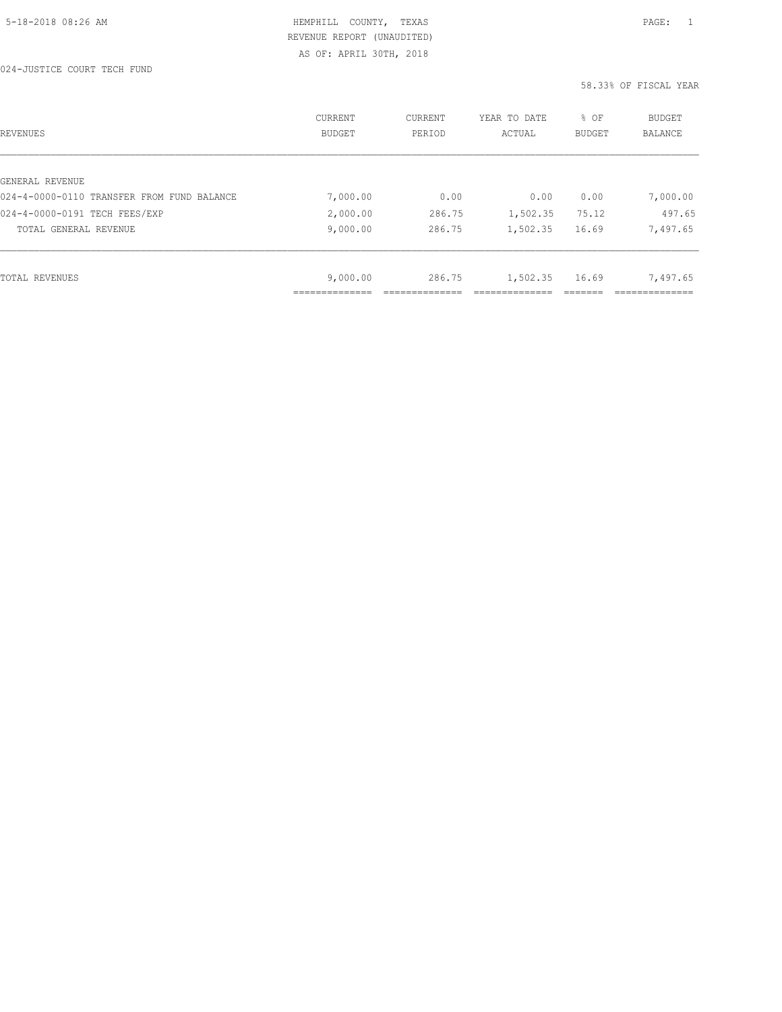AS OF: APRIL 30TH, 2018

| REVENUES                                   | CURRENT<br><b>BUDGET</b> | CURRENT<br>PERIOD | YEAR TO DATE<br>ACTUAL | % OF<br>BUDGET | <b>BUDGET</b><br>BALANCE |
|--------------------------------------------|--------------------------|-------------------|------------------------|----------------|--------------------------|
|                                            |                          |                   |                        |                |                          |
| GENERAL REVENUE                            |                          |                   |                        |                |                          |
| 024-4-0000-0110 TRANSFER FROM FUND BALANCE | 7,000.00                 | 0.00              | 0.00                   | 0.00           | 7,000.00                 |
| 024-4-0000-0191 TECH FEES/EXP              | 2,000.00                 | 286.75            | 1,502.35               | 75.12          | 497.65                   |
| TOTAL GENERAL REVENUE                      | 9,000.00                 | 286.75            | 1,502.35               | 16.69          | 7,497.65                 |
|                                            |                          |                   |                        |                |                          |
| TOTAL REVENUES                             | 9,000.00                 | 286.75            | 1,502.35               | 16.69          | 7,497.65                 |
|                                            |                          |                   |                        |                |                          |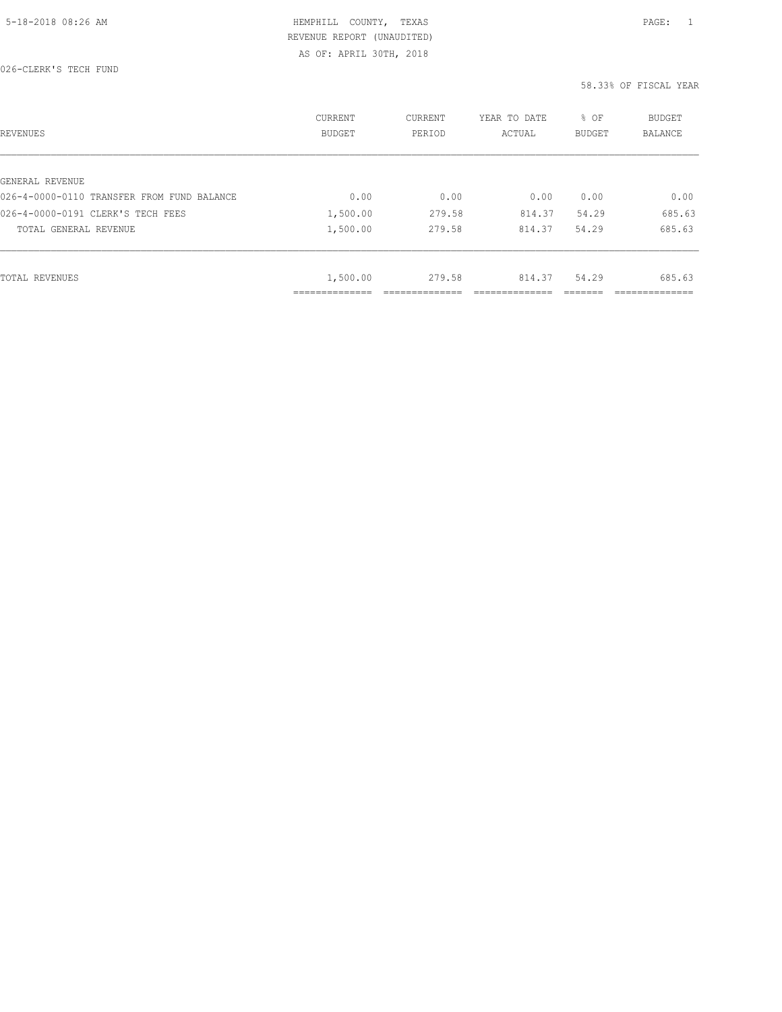AS OF: APRIL 30TH, 2018

| REVENUES                                   | CURRENT<br><b>BUDGET</b> | CURRENT<br>PERIOD | YEAR TO DATE<br>ACTUAL | % OF<br><b>BUDGET</b> | BUDGET<br>BALANCE |
|--------------------------------------------|--------------------------|-------------------|------------------------|-----------------------|-------------------|
|                                            |                          |                   |                        |                       |                   |
| GENERAL REVENUE                            |                          |                   |                        |                       |                   |
| 026-4-0000-0110 TRANSFER FROM FUND BALANCE | 0.00                     | 0.00              | 0.00                   | 0.00                  | 0.00              |
| 026-4-0000-0191 CLERK'S TECH FEES          | 1,500.00                 | 279.58            | 814.37                 | 54.29                 | 685.63            |
| TOTAL GENERAL REVENUE                      | 1,500.00                 | 279.58            | 814.37                 | 54.29                 | 685.63            |
|                                            |                          |                   |                        |                       |                   |
| TOTAL REVENUES                             | 1,500.00                 | 279.58            | 814.37                 | 54.29                 | 685.63            |
|                                            | ____________             |                   |                        |                       | ___________       |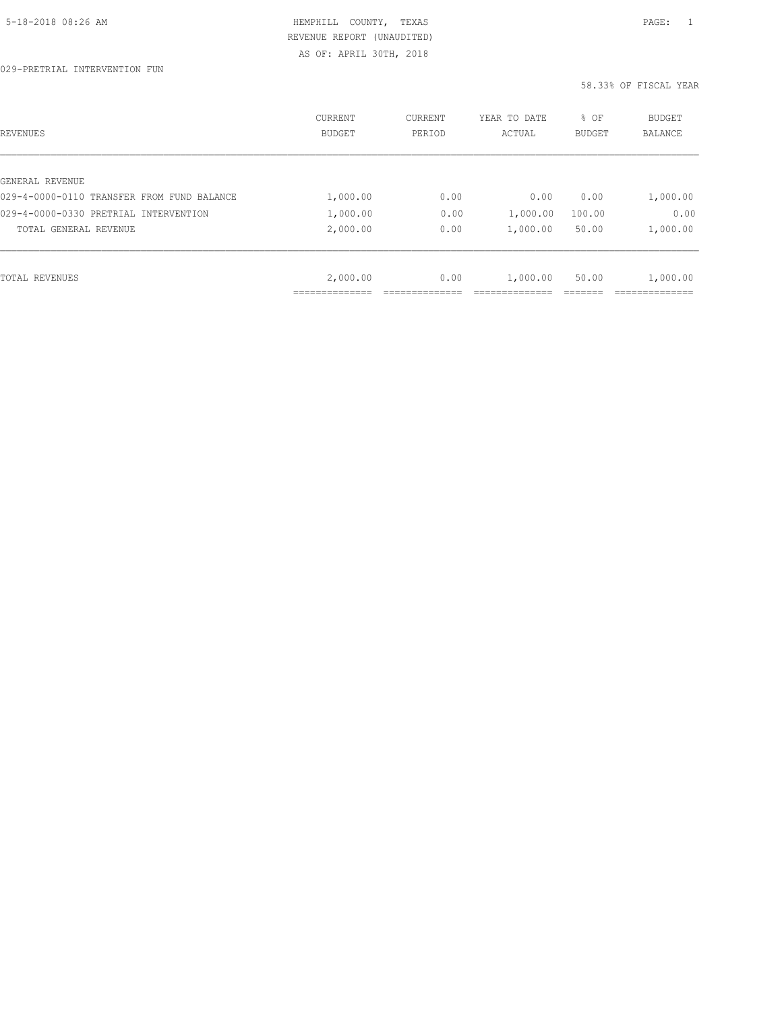029-PRETRIAL INTERVENTION FUN

| REVENUES                                   | CURRENT<br>BUDGET | CURRENT<br>PERIOD | YEAR TO DATE<br>ACTUAL | % OF<br>BUDGET | BUDGET<br>BALANCE |
|--------------------------------------------|-------------------|-------------------|------------------------|----------------|-------------------|
|                                            |                   |                   |                        |                |                   |
| GENERAL REVENUE                            |                   |                   |                        |                |                   |
| 029-4-0000-0110 TRANSFER FROM FUND BALANCE | 1,000.00          | 0.00              | 0.00                   | 0.00           | 1,000.00          |
| 029-4-0000-0330 PRETRIAL INTERVENTION      | 1,000.00          | 0.00              | 1,000.00               | 100.00         | 0.00              |
| TOTAL GENERAL REVENUE                      | 2,000.00          | 0.00              | 1,000.00               | 50.00          | 1,000.00          |
|                                            |                   |                   |                        |                |                   |
| TOTAL REVENUES                             | 2,000.00          | 0.00              | 1,000.00               | 50.00          | 1,000.00          |
|                                            | ____________      |                   |                        |                |                   |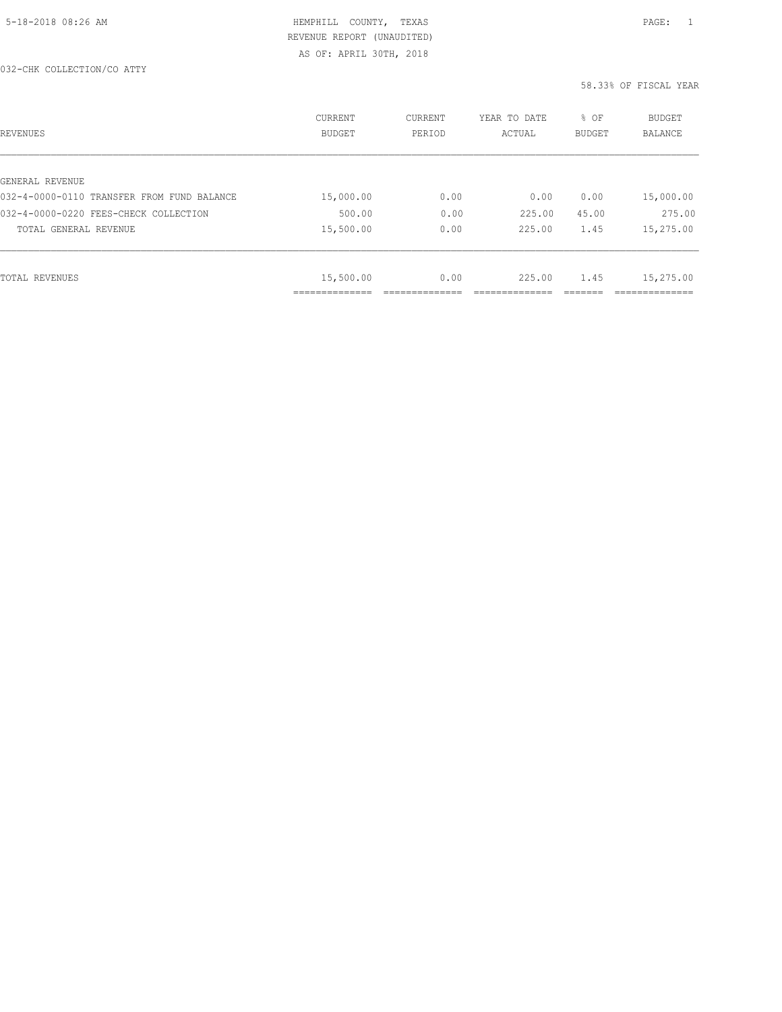032-CHK COLLECTION/CO ATTY

| REVENUES                                   | CURRENT<br><b>BUDGET</b>   | CURRENT<br>PERIOD | YEAR TO DATE<br>ACTUAL | % OF<br>BUDGET | BUDGET<br>BALANCE |
|--------------------------------------------|----------------------------|-------------------|------------------------|----------------|-------------------|
|                                            |                            |                   |                        |                |                   |
| GENERAL REVENUE                            |                            |                   |                        |                |                   |
| 032-4-0000-0110 TRANSFER FROM FUND BALANCE | 15,000.00                  | 0.00              | 0.00                   | 0.00           | 15,000.00         |
| 032-4-0000-0220 FEES-CHECK COLLECTION      | 500.00                     | 0.00              | 225.00                 | 45.00          | 275.00            |
| TOTAL GENERAL REVENUE                      | 15,500.00                  | 0.00              | 225.00                 | 1.45           | 15,275.00         |
|                                            |                            |                   |                        |                |                   |
| TOTAL REVENUES                             | 15,500.00                  | 0.00              | 225.00                 | 1.45           | 15,275.00         |
|                                            | -----------<br>----------- |                   |                        |                |                   |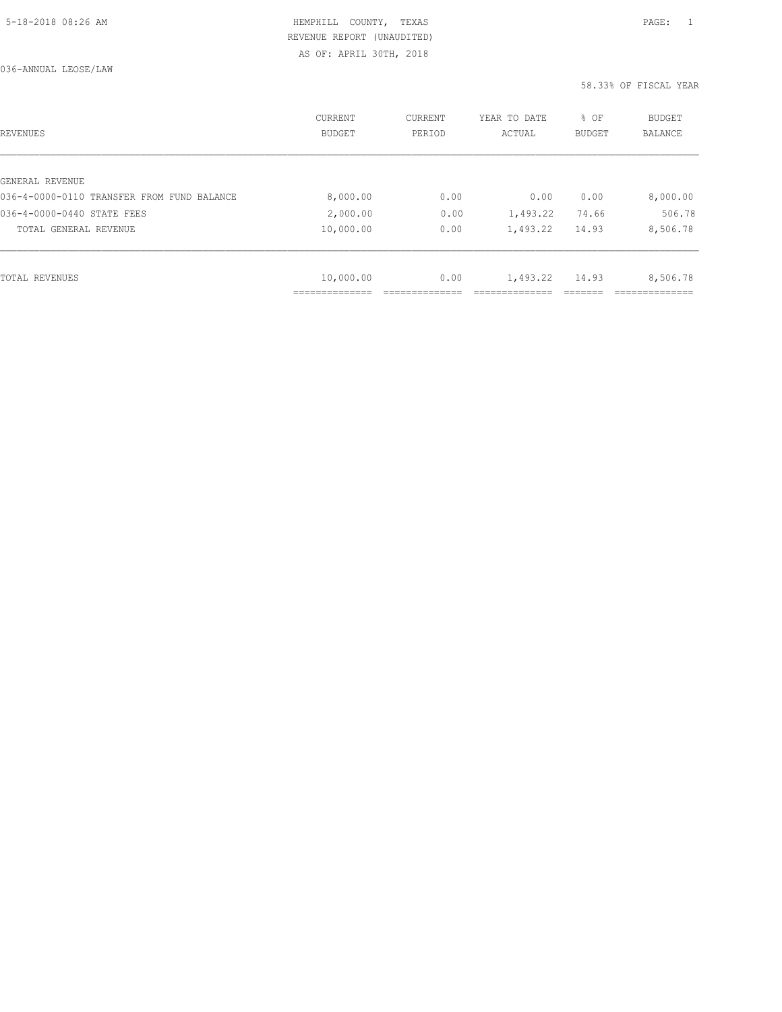036-ANNUAL LEOSE/LAW

| REVENUES                                   | <b>CURRENT</b><br><b>BUDGET</b> | CURRENT<br>PERIOD | YEAR TO DATE<br>ACTUAL | % OF<br>BUDGET | BUDGET<br><b>BALANCE</b> |
|--------------------------------------------|---------------------------------|-------------------|------------------------|----------------|--------------------------|
|                                            |                                 |                   |                        |                |                          |
| GENERAL REVENUE                            |                                 |                   |                        |                |                          |
| 036-4-0000-0110 TRANSFER FROM FUND BALANCE | 8,000.00                        | 0.00              | 0.00                   | 0.00           | 8,000.00                 |
| 036-4-0000-0440 STATE FEES                 | 2,000.00                        | 0.00              | 1,493.22               | 74.66          | 506.78                   |
| TOTAL GENERAL REVENUE                      | 10,000.00                       | 0.00              | 1,493.22               | 14.93          | 8,506.78                 |
|                                            |                                 |                   |                        |                |                          |
| TOTAL REVENUES                             | 10,000.00                       | 0.00              | 1,493.22               | 14.93          | 8,506.78                 |
|                                            |                                 |                   |                        |                |                          |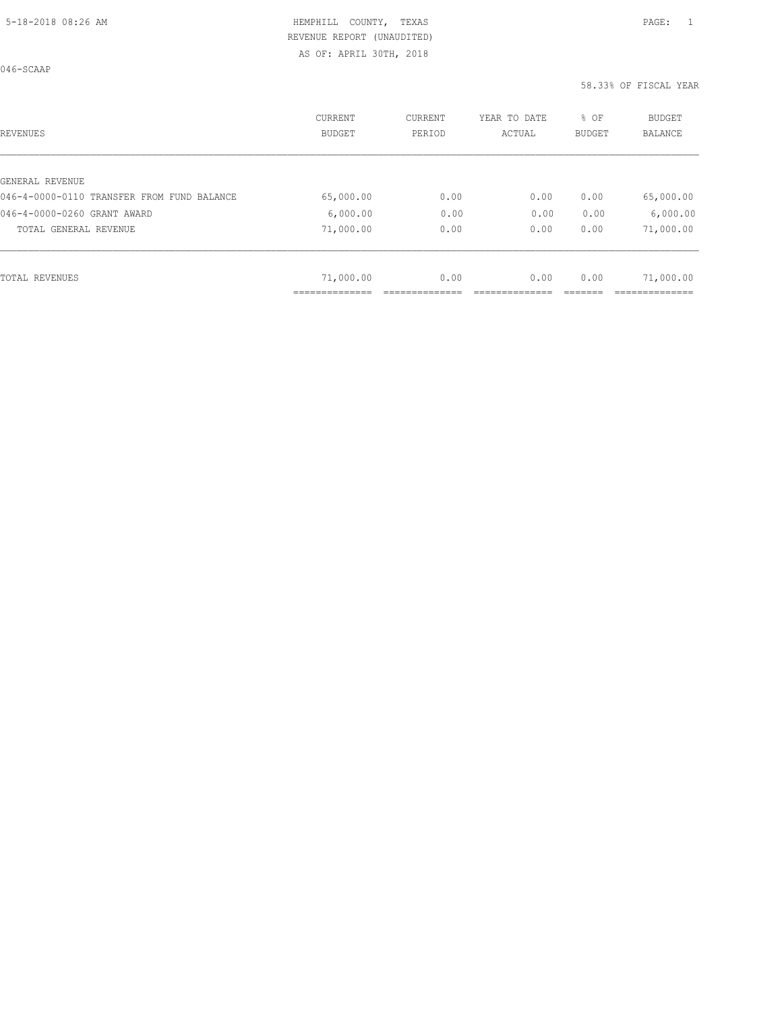046-SCAAP

| REVENUES                                   | <b>CURRENT</b><br><b>BUDGET</b> | CURRENT<br>PERIOD | YEAR TO DATE<br>ACTUAL | % OF<br>BUDGET | <b>BUDGET</b><br>BALANCE |
|--------------------------------------------|---------------------------------|-------------------|------------------------|----------------|--------------------------|
|                                            |                                 |                   |                        |                |                          |
| GENERAL REVENUE                            |                                 |                   |                        |                |                          |
| 046-4-0000-0110 TRANSFER FROM FUND BALANCE | 65,000.00                       | 0.00              | 0.00                   | 0.00           | 65,000.00                |
| 046-4-0000-0260 GRANT AWARD                | 6,000.00                        | 0.00              | 0.00                   | 0.00           | 6,000.00                 |
| TOTAL GENERAL REVENUE                      | 71,000.00                       | 0.00              | 0.00                   | 0.00           | 71,000.00                |
|                                            |                                 |                   |                        |                |                          |
| TOTAL REVENUES                             | 71,000.00                       | 0.00              | 0.00                   | 0.00           | 71,000.00                |
|                                            |                                 |                   |                        |                |                          |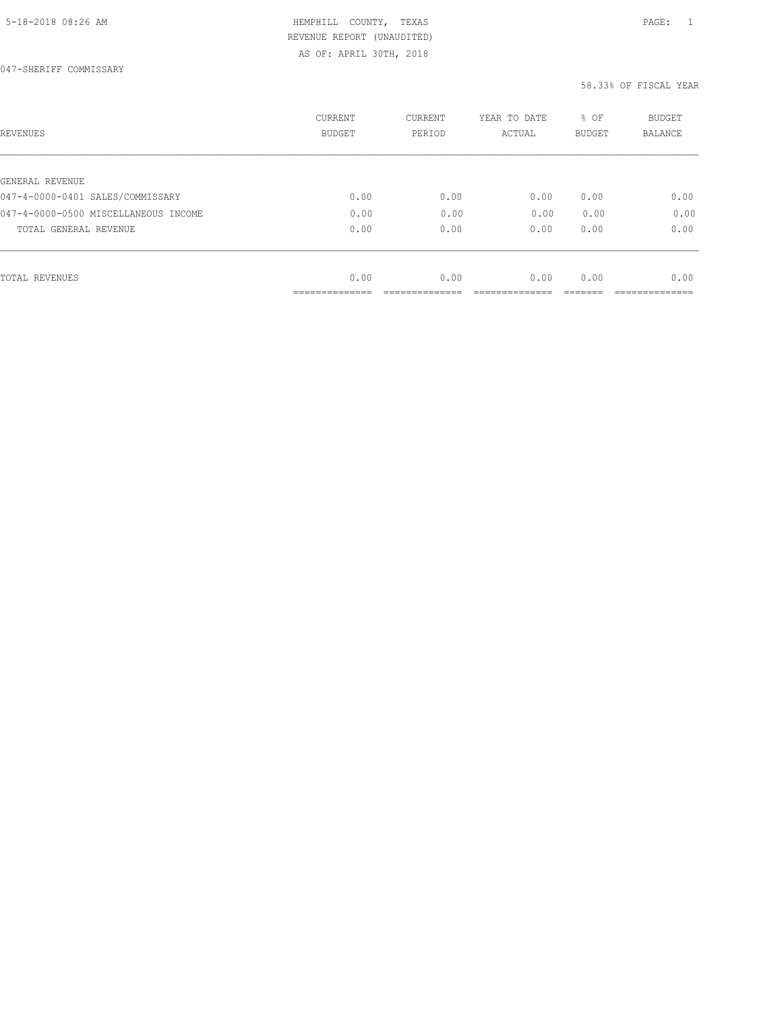AS OF: APRIL 30TH, 2018

| REVENUES                             | CURRENT<br><b>BUDGET</b> | CURRENT<br>PERIOD | YEAR TO DATE<br>ACTUAL | % OF<br>BUDGET | BUDGET<br>BALANCE |
|--------------------------------------|--------------------------|-------------------|------------------------|----------------|-------------------|
|                                      |                          |                   |                        |                |                   |
| GENERAL REVENUE                      |                          |                   |                        |                |                   |
| 047-4-0000-0401 SALES/COMMISSARY     | 0.00                     | 0.00              | 0.00                   | 0.00           | 0.00              |
| 047-4-0000-0500 MISCELLANEOUS INCOME | 0.00                     | 0.00              | 0.00                   | 0.00           | 0.00              |
| TOTAL GENERAL REVENUE                | 0.00                     | 0.00              | 0.00                   | 0.00           | 0.00              |
|                                      |                          |                   |                        |                |                   |
| TOTAL REVENUES                       | 0.00                     | 0.00              | 0.00                   | 0.00           | 0.00              |
|                                      | ------------             |                   |                        |                |                   |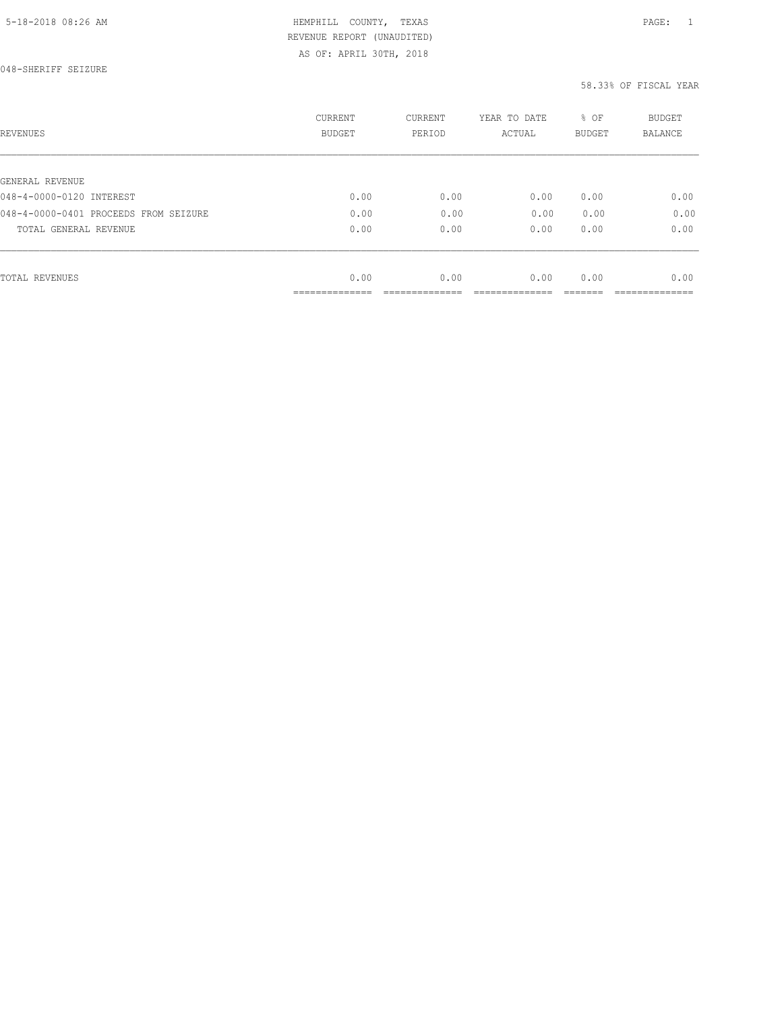# HEMPHILL COUNTY, TEXAS **Example 20:26 AM HEMPHILL** COUNTY, TEXAS REVENUE REPORT (UNAUDITED)

AS OF: APRIL 30TH, 2018

| REVENUES                              | <b>CURRENT</b><br><b>BUDGET</b> | CURRENT<br>PERIOD | YEAR TO DATE<br>ACTUAL | % OF<br>BUDGET | <b>BUDGET</b><br>BALANCE |
|---------------------------------------|---------------------------------|-------------------|------------------------|----------------|--------------------------|
|                                       |                                 |                   |                        |                |                          |
| GENERAL REVENUE                       |                                 |                   |                        |                |                          |
| 048-4-0000-0120 INTEREST              | 0.00                            | 0.00              | 0.00                   | 0.00           | 0.00                     |
| 048-4-0000-0401 PROCEEDS FROM SEIZURE | 0.00                            | 0.00              | 0.00                   | 0.00           | 0.00                     |
| TOTAL GENERAL REVENUE                 | 0.00                            | 0.00              | 0.00                   | 0.00           | 0.00                     |
|                                       |                                 |                   |                        |                |                          |
| TOTAL REVENUES                        | 0.00                            | 0.00              | 0.00                   | 0.00           | 0.00                     |
|                                       | -------------<br>______________ |                   |                        |                |                          |